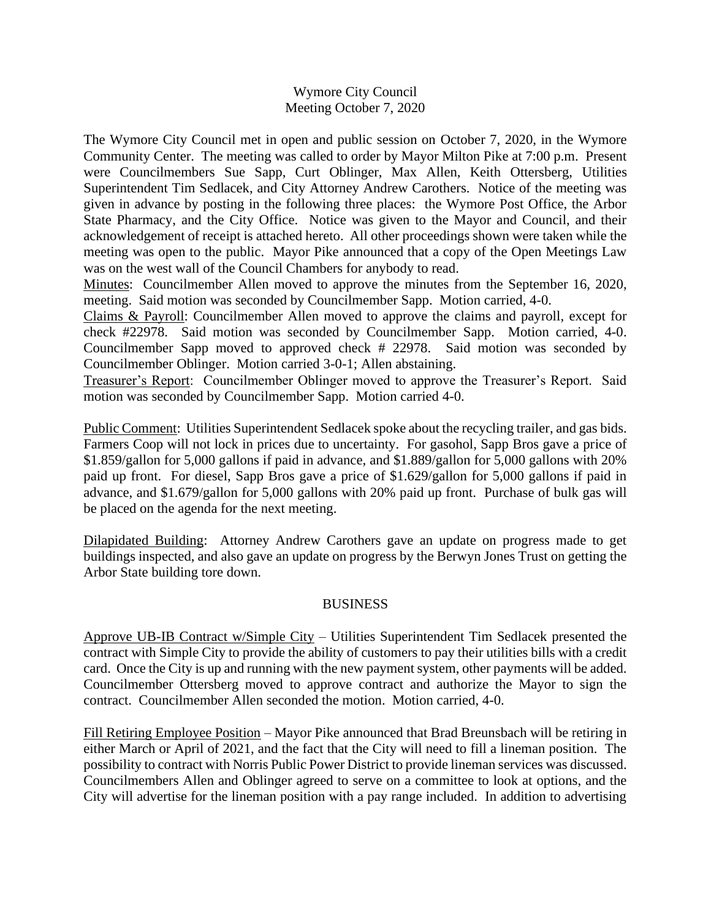## Wymore City Council Meeting October 7, 2020

The Wymore City Council met in open and public session on October 7, 2020, in the Wymore Community Center. The meeting was called to order by Mayor Milton Pike at 7:00 p.m. Present were Councilmembers Sue Sapp, Curt Oblinger, Max Allen, Keith Ottersberg, Utilities Superintendent Tim Sedlacek, and City Attorney Andrew Carothers. Notice of the meeting was given in advance by posting in the following three places: the Wymore Post Office, the Arbor State Pharmacy, and the City Office. Notice was given to the Mayor and Council, and their acknowledgement of receipt is attached hereto. All other proceedings shown were taken while the meeting was open to the public. Mayor Pike announced that a copy of the Open Meetings Law was on the west wall of the Council Chambers for anybody to read.

Minutes: Councilmember Allen moved to approve the minutes from the September 16, 2020, meeting. Said motion was seconded by Councilmember Sapp. Motion carried, 4-0.

Claims & Payroll: Councilmember Allen moved to approve the claims and payroll, except for check #22978. Said motion was seconded by Councilmember Sapp. Motion carried, 4-0. Councilmember Sapp moved to approved check # 22978. Said motion was seconded by Councilmember Oblinger. Motion carried 3-0-1; Allen abstaining.

Treasurer's Report: Councilmember Oblinger moved to approve the Treasurer's Report. Said motion was seconded by Councilmember Sapp. Motion carried 4-0.

Public Comment: Utilities Superintendent Sedlacek spoke about the recycling trailer, and gas bids. Farmers Coop will not lock in prices due to uncertainty. For gasohol, Sapp Bros gave a price of \$1.859/gallon for 5,000 gallons if paid in advance, and \$1.889/gallon for 5,000 gallons with 20% paid up front. For diesel, Sapp Bros gave a price of \$1.629/gallon for 5,000 gallons if paid in advance, and \$1.679/gallon for 5,000 gallons with 20% paid up front. Purchase of bulk gas will be placed on the agenda for the next meeting.

Dilapidated Building: Attorney Andrew Carothers gave an update on progress made to get buildings inspected, and also gave an update on progress by the Berwyn Jones Trust on getting the Arbor State building tore down.

## BUSINESS

Approve UB-IB Contract w/Simple City – Utilities Superintendent Tim Sedlacek presented the contract with Simple City to provide the ability of customers to pay their utilities bills with a credit card. Once the City is up and running with the new payment system, other payments will be added. Councilmember Ottersberg moved to approve contract and authorize the Mayor to sign the contract. Councilmember Allen seconded the motion. Motion carried, 4-0.

Fill Retiring Employee Position – Mayor Pike announced that Brad Breunsbach will be retiring in either March or April of 2021, and the fact that the City will need to fill a lineman position. The possibility to contract with Norris Public Power District to provide lineman services was discussed. Councilmembers Allen and Oblinger agreed to serve on a committee to look at options, and the City will advertise for the lineman position with a pay range included. In addition to advertising